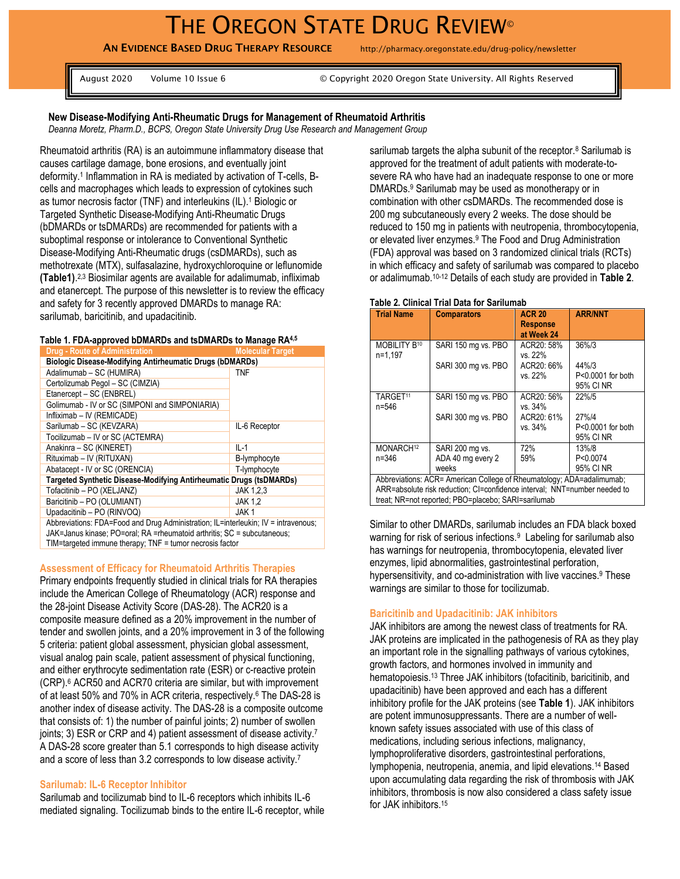AN EVIDENCE BASED DRUG THERAPY RESOURCE http://pharmacy.oregonstate.edu/drug-policy/newsletter

August 2020 Volume 10 Issue 6 © Copyright 2020 Oregon State University. All Rights Reserved

## **New Disease-Modifying Anti-Rheumatic Drugs for Management of Rheumatoid Arthritis**

*Deanna Moretz, Pharm.D., BCPS, Oregon State University Drug Use Research and Management Group* 

Rheumatoid arthritis (RA) is an autoimmune inflammatory disease that causes cartilage damage, bone erosions, and eventually joint deformity.<sup>1</sup> Inflammation in RA is mediated by activation of T-cells, Bcells and macrophages which leads to expression of cytokines such as tumor necrosis factor (TNF) and interleukins (IL). <sup>1</sup> Biologic or Targeted Synthetic Disease-Modifying Anti-Rheumatic Drugs (bDMARDs or tsDMARDs) are recommended for patients with a suboptimal response or intolerance to Conventional Synthetic Disease-Modifying Anti-Rheumatic drugs (csDMARDs), such as methotrexate (MTX), sulfasalazine, hydroxychloroquine or leflunomide **(Table1)**. 2,3 Biosimilar agents are available for adalimumab, infliximab and etanercept. The purpose of this newsletter is to review the efficacy and safety for 3 recently approved DMARDs to manage RA: sarilumab, baricitinib, and upadacitinib.

#### **Table 1. FDA-approved bDMARDs and tsDMARDs to Manage RA4,5**

| <b>Drug - Route of Administration</b>                                              | <b>Molecular Target</b> |  |  |  |
|------------------------------------------------------------------------------------|-------------------------|--|--|--|
| <b>Biologic Disease-Modifying Antirheumatic Drugs (bDMARDs)</b>                    |                         |  |  |  |
| Adalimumab - SC (HUMIRA)                                                           | <b>TNF</b>              |  |  |  |
| Certolizumab Pegol - SC (CIMZIA)                                                   |                         |  |  |  |
| Etanercept - SC (ENBREL)                                                           |                         |  |  |  |
| Golimumab - IV or SC (SIMPONI and SIMPONIARIA)                                     |                         |  |  |  |
| Infliximab - IV (REMICADE)                                                         |                         |  |  |  |
| Sarilumab - SC (KEVZARA)                                                           | IL-6 Receptor           |  |  |  |
| Tocilizumab - IV or SC (ACTEMRA)                                                   |                         |  |  |  |
| Anakinra - SC (KINERET)                                                            | IL-1                    |  |  |  |
| Rituximab - IV (RITUXAN)                                                           | B-lymphocyte            |  |  |  |
| Abatacept - IV or SC (ORENCIA)                                                     | T-lymphocyte            |  |  |  |
| Targeted Synthetic Disease-Modifying Antirheumatic Drugs (tsDMARDs)                |                         |  |  |  |
| Tofacitinib - PO (XELJANZ)                                                         | JAK 1.2.3               |  |  |  |
| Baricitinib - PO (OLUMIANT)                                                        | <b>JAK 1.2</b>          |  |  |  |
| Upadacitinib - PO (RINVOQ)                                                         | JAK1                    |  |  |  |
| Abbreviations: FDA=Food and Drug Administration; IL=interleukin; IV = intravenous; |                         |  |  |  |
| JAK=Janus kinase: PO=oral: RA =rheumatoid arthritis: SC = subcutaneous:            |                         |  |  |  |

TIM=targeted immune therapy; TNF = tumor necrosis factor

### **Assessment of Efficacy for Rheumatoid Arthritis Therapies**

Primary endpoints frequently studied in clinical trials for RA therapies include the American College of Rheumatology (ACR) response and the 28-joint Disease Activity Score (DAS-28). The ACR20 is a composite measure defined as a 20% improvement in the number of tender and swollen joints, and a 20% improvement in 3 of the following 5 criteria: patient global assessment, physician global assessment, visual analog pain scale, patient assessment of physical functioning, and either erythrocyte sedimentation rate (ESR) or c-reactive protein (CRP). <sup>6</sup> ACR50 and ACR70 criteria are similar, but with improvement of at least 50% and 70% in ACR criteria, respectively. <sup>6</sup> The DAS-28 is another index of disease activity. The DAS-28 is a composite outcome that consists of: 1) the number of painful joints; 2) number of swollen joints; 3) ESR or CRP and 4) patient assessment of disease activity.<sup>7</sup> A DAS-28 score greater than 5.1 corresponds to high disease activity and a score of less than 3.2 corresponds to low disease activity.<sup>7</sup>

### **Sarilumab: IL-6 Receptor Inhibitor**

Sarilumab and tocilizumab bind to IL-6 receptors which inhibits IL-6 mediated signaling. Tocilizumab binds to the entire IL-6 receptor, while sarilumab targets the alpha subunit of the receptor.<sup>8</sup> Sarilumab is approved for the treatment of adult patients with moderate-tosevere RA who have had an inadequate response to one or more DMARDs. <sup>9</sup> Sarilumab may be used as monotherapy or in combination with other csDMARDs. The recommended dose is 200 mg subcutaneously every 2 weeks. The dose should be reduced to 150 mg in patients with neutropenia, thrombocytopenia, or elevated liver enzymes.<sup>9</sup> The Food and Drug Administration (FDA) approval was based on 3 randomized clinical trials (RCTs) in which efficacy and safety of sarilumab was compared to placebo or adalimumab.10-12 Details of each study are provided in **Table 2**.

#### **Table 2. Clinical Trial Data for Sarilumab**

| <b>Trial Name</b>                                                                                                                                  | <b>Comparators</b>  | <b>ACR 20</b><br><b>Response</b><br>at Week 24 | <b>ARR/NNT</b>                          |  |  |
|----------------------------------------------------------------------------------------------------------------------------------------------------|---------------------|------------------------------------------------|-----------------------------------------|--|--|
| MOBILITY B <sup>10</sup><br>n=1.197                                                                                                                | SARI 150 mg vs. PBO | ACR20: 58%<br>vs. 22%                          | 36%/3                                   |  |  |
|                                                                                                                                                    | SARI 300 mg vs. PBO | ACR20: 66%                                     | 44%/3                                   |  |  |
|                                                                                                                                                    |                     | vs. 22%                                        | P<0.0001 for both<br>95% CI NR          |  |  |
| TARGET <sup>11</sup><br>n=546                                                                                                                      | SARI 150 mg vs. PBO | ACR20: 56%<br>vs. 34%                          | 22%/5                                   |  |  |
|                                                                                                                                                    | SARI 300 mg vs. PBO | ACR20: 61%<br>vs. 34%                          | 27%/4<br>P<0.0001 for both<br>95% CI NR |  |  |
| MONARCH <sup>12</sup>                                                                                                                              | SARI 200 mg vs.     | 72%                                            | 13%/8                                   |  |  |
| n=346                                                                                                                                              | ADA 40 mg every 2   | 59%                                            | P<0.0074                                |  |  |
|                                                                                                                                                    | weeks               |                                                | 95% CI NR                               |  |  |
| Abbreviations: ACR= American College of Rheumatology; ADA=adalimumab;<br>ARR=absolute risk reduction; CI=confidence interval; NNT=number needed to |                     |                                                |                                         |  |  |

treat; NR=not reported; PBO=placebo; SARI=sarilumab

Similar to other DMARDs, sarilumab includes an FDA black boxed warning for risk of serious infections.<sup>9</sup> Labeling for sarilumab also has warnings for neutropenia, thrombocytopenia, elevated liver enzymes, lipid abnormalities, gastrointestinal perforation, hypersensitivity, and co-administration with live vaccines.<sup>9</sup> These warnings are similar to those for tocilizumab.

#### **Baricitinib and Upadacitinib: JAK inhibitors**

JAK inhibitors are among the newest class of treatments for RA. JAK proteins are implicated in the pathogenesis of RA as they play an important role in the signalling pathways of various cytokines, growth factors, and hormones involved in immunity and hematopoiesis.<sup>13</sup> Three JAK inhibitors (tofacitinib, baricitinib, and upadacitinib) have been approved and each has a different inhibitory profile for the JAK proteins (see **Table 1**). JAK inhibitors are potent immunosuppressants. There are a number of wellknown safety issues associated with use of this class of medications, including serious infections, malignancy, lymphoproliferative disorders, gastrointestinal perforations, lymphopenia, neutropenia, anemia, and lipid elevations.<sup>14</sup> Based upon accumulating data regarding the risk of thrombosis with JAK inhibitors, thrombosis is now also considered a class safety issue for JAK inhibitors.<sup>15</sup>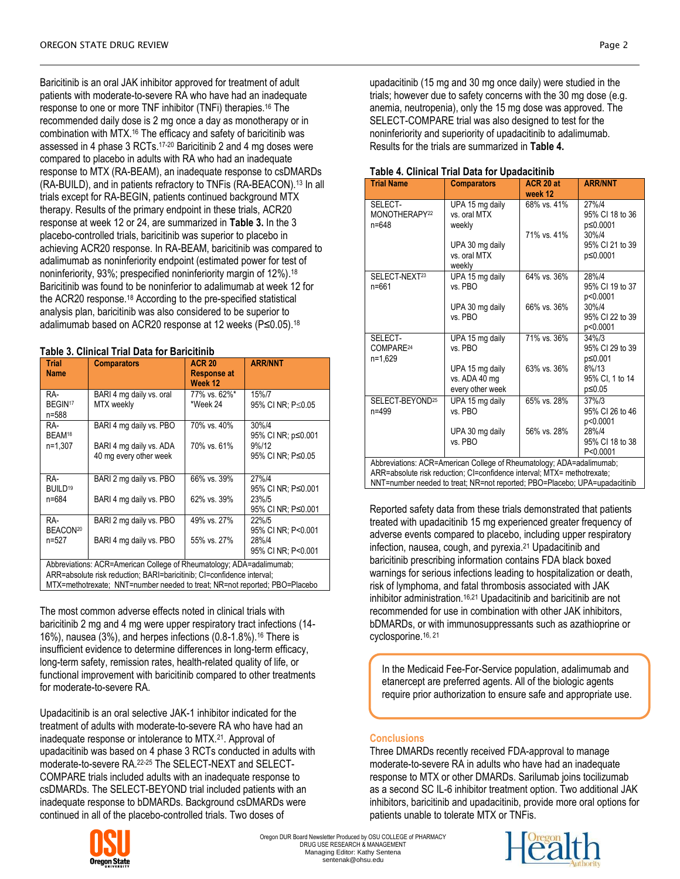Baricitinib is an oral JAK inhibitor approved for treatment of adult patients with moderate-to-severe RA who have had an inadequate response to one or more TNF inhibitor (TNFi) therapies.<sup>16</sup> The recommended daily dose is 2 mg once a day as monotherapy or in combination with MTX. <sup>16</sup> The efficacy and safety of baricitinib was assessed in 4 phase 3 RCTs. 17-20 Baricitinib 2 and 4 mg doses were compared to placebo in adults with RA who had an inadequate response to MTX (RA-BEAM), an inadequate response to csDMARDs (RA-BUILD), and in patients refractory to TNFis (RA-BEACON).<sup>13</sup> In all trials except for RA-BEGIN, patients continued background MTX therapy. Results of the primary endpoint in these trials, ACR20 response at week 12 or 24, are summarized in **Table 3.** In the 3 placebo-controlled trials, baricitinib was superior to placebo in achieving ACR20 response. In RA-BEAM, baricitinib was compared to adalimumab as noninferiority endpoint (estimated power for test of noninferiority, 93%; prespecified noninferiority margin of 12%). 18 Baricitinib was found to be noninferior to adalimumab at week 12 for the ACR20 response.<sup>18</sup> According to the pre-specified statistical analysis plan, baricitinib was also considered to be superior to adalimumab based on ACR20 response at 12 weeks (P≤0.05).<sup>18</sup>

# **Table 3. Clinical Trial Data for Baricitinib**

| <b>Trial</b>                                                           |                                                                            | <b>ACR 20</b>      | <b>ARR/NNT</b>     |  |  |  |
|------------------------------------------------------------------------|----------------------------------------------------------------------------|--------------------|--------------------|--|--|--|
|                                                                        | <b>Comparators</b>                                                         |                    |                    |  |  |  |
| <b>Name</b>                                                            |                                                                            | <b>Response at</b> |                    |  |  |  |
|                                                                        |                                                                            | Week 12            |                    |  |  |  |
| RA-                                                                    | BARI 4 mg daily vs. oral                                                   | 77% vs. 62%*       | 15%/7              |  |  |  |
| BEGIN <sup>17</sup>                                                    | MTX weekly                                                                 | *Week 24           | 95% CI NR; P≤0.05  |  |  |  |
| n=588                                                                  |                                                                            |                    |                    |  |  |  |
| RA-                                                                    | BARI 4 mg daily vs. PBO                                                    | 70% vs. 40%        | 30%/4              |  |  |  |
| BEAM <sup>18</sup>                                                     |                                                                            |                    | 95% CI NR; p≤0.001 |  |  |  |
| n=1.307                                                                | BARI 4 mg daily vs. ADA                                                    | 70% vs. 61%        | 9%/12              |  |  |  |
|                                                                        | 40 mg every other week                                                     |                    | 95% CI NR; P≤0.05  |  |  |  |
|                                                                        |                                                                            |                    |                    |  |  |  |
| RA-                                                                    | BARI 2 mg daily vs. PBO                                                    | 66% vs. 39%        | 27%/4              |  |  |  |
| BUILD <sup>19</sup>                                                    |                                                                            |                    | 95% CI NR; P≤0.001 |  |  |  |
| n=684                                                                  | BARI 4 mg daily vs. PBO                                                    | 62% vs. 39%        | 23%/5              |  |  |  |
|                                                                        |                                                                            |                    | 95% CI NR: P≤0.001 |  |  |  |
| RA-                                                                    | BARI 2 mg daily vs. PBO                                                    | 49% vs. 27%        | 22%/5              |  |  |  |
| BEACON <sup>20</sup>                                                   |                                                                            |                    | 95% CI NR; P<0.001 |  |  |  |
| n=527                                                                  | BARI 4 mg daily vs. PBO                                                    | 55% vs. 27%        | 28%/4              |  |  |  |
|                                                                        |                                                                            |                    | 95% CI NR: P<0.001 |  |  |  |
|                                                                        |                                                                            |                    |                    |  |  |  |
| Abbreviations: ACR=American College of Rheumatology; ADA=adalimumab;   |                                                                            |                    |                    |  |  |  |
| ARR=absolute risk reduction; BARI=baricitinib; CI=confidence interval; |                                                                            |                    |                    |  |  |  |
|                                                                        | MTX=methotrexate; NNT=number needed to treat; NR=not reported; PBO=Placebo |                    |                    |  |  |  |

The most common adverse effects noted in clinical trials with baricitinib 2 mg and 4 mg were upper respiratory tract infections (14- 16%), nausea (3%), and herpes infections (0.8-1.8%).<sup>16</sup> There is insufficient evidence to determine differences in long-term efficacy, long-term safety, remission rates, health-related quality of life, or functional improvement with baricitinib compared to other treatments for moderate-to-severe RA.

Upadacitinib is an oral selective JAK-1 inhibitor indicated for the treatment of adults with moderate-to-severe RA who have had an inadequate response or intolerance to MTX.<sup>21</sup>. Approval of upadacitinib was based on 4 phase 3 RCTs conducted in adults with moderate-to-severe RA. 22-25 The SELECT-NEXT and SELECT-COMPARE trials included adults with an inadequate response to csDMARDs. The SELECT-BEYOND trial included patients with an inadequate response to bDMARDs. Background csDMARDs were continued in all of the placebo-controlled trials. Two doses of



| <b>Trial Name</b>                                                                                                                                                                                                             | <b>Comparators</b>                                   | ACR 20 at<br>week 12 | <b>ARR/NNT</b>                          |  |
|-------------------------------------------------------------------------------------------------------------------------------------------------------------------------------------------------------------------------------|------------------------------------------------------|----------------------|-----------------------------------------|--|
| SELECT-<br>MONOTHERAPY <sup>22</sup><br>n=648                                                                                                                                                                                 | UPA 15 mg daily<br>vs. oral MTX<br>weekly            | 68% vs. 41%          | 27%/4<br>95% CI 18 to 36<br>p≤0.0001    |  |
|                                                                                                                                                                                                                               | UPA 30 mg daily<br>vs. oral MTX<br>weekly            | 71% vs. 41%          | 30%/4<br>95% CI 21 to 39<br>p≤0.0001    |  |
| SELECT-NEXT <sup>23</sup><br>$n = 661$                                                                                                                                                                                        | UPA 15 mg daily<br>vs. PBO                           | 64% vs. 36%          | 28%/4<br>95% CI 19 to 37<br>p<0.0001    |  |
|                                                                                                                                                                                                                               | UPA 30 mg daily<br>vs. PBO                           | 66% vs. 36%          | 30%/4<br>95% CI 22 to 39<br>p<0.0001    |  |
| SELECT-<br>COMPARE <sup>24</sup><br>n=1,629                                                                                                                                                                                   | UPA 15 mg daily<br>vs. PBO                           | 71% vs. 36%          | $34\%/3$<br>95% CI 29 to 39<br>p≤0.001  |  |
|                                                                                                                                                                                                                               | UPA 15 mg daily<br>vs. ADA 40 mg<br>every other week | 63% vs. 36%          | 8%/13<br>95% CI, 1 to 14<br>p≤0.05      |  |
| SELECT-BEYOND <sup>25</sup><br>n=499                                                                                                                                                                                          | UPA 15 mg daily<br>vs. PBO                           | 65% vs. 28%          | $37\%/3$<br>95% CI 26 to 46<br>p<0.0001 |  |
|                                                                                                                                                                                                                               | UPA 30 mg daily<br>vs. PBO                           | 56% vs. 28%          | 28%/4<br>95% CI 18 to 38<br>P<0.0001    |  |
| Abbreviations: ACR=American College of Rheumatology; ADA=adalimumab;<br>ARR=absolute risk reduction; CI=confidence interval; MTX= methotrexate;<br>NNT=number needed to treat; NR=not reported; PBO=Placebo; UPA=upadacitinib |                                                      |                      |                                         |  |

## **Table 4. Clinical Trial Data for Upadacitinib**

Reported safety data from these trials demonstrated that patients treated with upadacitinib 15 mg experienced greater frequency of adverse events compared to placebo, including upper respiratory infection, nausea, cough, and pyrexia. <sup>21</sup> Upadacitinib and baricitinib prescribing information contains FDA black boxed warnings for serious infections leading to hospitalization or death, risk of lymphoma, and fatal thrombosis associated with JAK inhibitor administration.16,21 Upadacitinib and baricitinib are not recommended for use in combination with other JAK inhibitors, bDMARDs, or with immunosuppressants such as azathioprine or cyclosporine.16, 21

In the Medicaid Fee-For-Service population, adalimumab and etanercept are preferred agents. All of the biologic agents require prior authorization to ensure safe and appropriate use.

# **Conclusions**

Three DMARDs recently received FDA-approval to manage moderate-to-severe RA in adults who have had an inadequate response to MTX or other DMARDs. Sarilumab joins tocilizumab as a second SC IL-6 inhibitor treatment option. Two additional JAK inhibitors, baricitinib and upadacitinib, provide more oral options for patients unable to tolerate MTX or TNFis.



Oregon DUR Board Newsletter Produced by OSU COLLEGE of PHARMACY DRUG USE RESEARCH & MANAGEMENT Managing Editor: Kathy Sentena sentenak@ohsu.edu